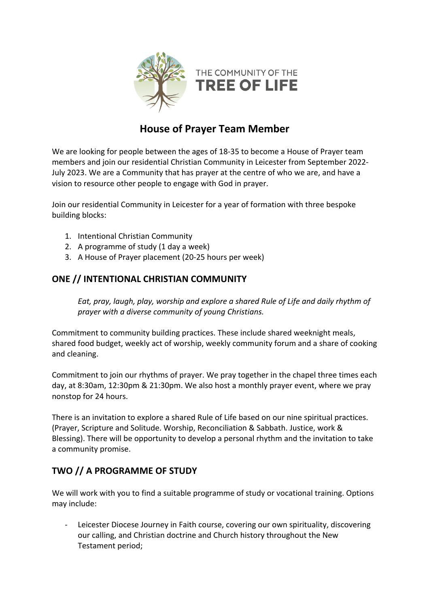

# **House of Prayer Team Member**

We are looking for people between the ages of 18-35 to become a House of Prayer team members and join our residential Christian Community in Leicester from September 2022- July 2023. We are a Community that has prayer at the centre of who we are, and have a vision to resource other people to engage with God in prayer.

Join our residential Community in Leicester for a year of formation with three bespoke building blocks:

- 1. Intentional Christian Community
- 2. A programme of study (1 day a week)
- 3. A House of Prayer placement (20-25 hours per week)

## **ONE // INTENTIONAL CHRISTIAN COMMUNITY**

*Eat, pray, laugh, play, worship and explore a shared Rule of Life and daily rhythm of prayer with a diverse community of young Christians.* 

Commitment to community building practices. These include shared weeknight meals, shared food budget, weekly act of worship, weekly community forum and a share of cooking and cleaning.

Commitment to join our rhythms of prayer. We pray together in the chapel three times each day, at 8:30am, 12:30pm & 21:30pm. We also host a monthly prayer event, where we pray nonstop for 24 hours.

There is an invitation to explore a shared Rule of Life based on our nine spiritual practices. (Prayer, Scripture and Solitude. Worship, Reconciliation & Sabbath. Justice, work & Blessing). There will be opportunity to develop a personal rhythm and the invitation to take a community promise.

# **TWO // A PROGRAMME OF STUDY**

We will work with you to find a suitable programme of study or vocational training. Options may include:

Leicester Diocese Journey in Faith course, covering our own spirituality, discovering our calling, and Christian doctrine and Church history throughout the New Testament period;